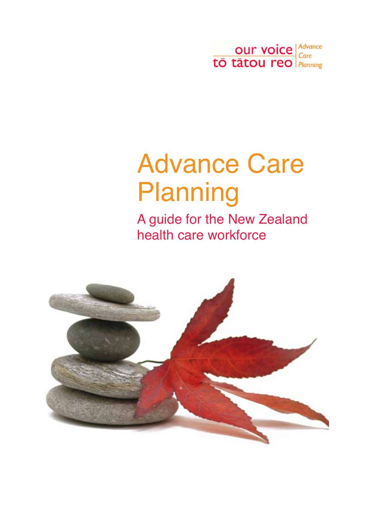

# <span id="page-0-0"></span>Advance Care **Planning**

A guide for the New Zealand health care workforce

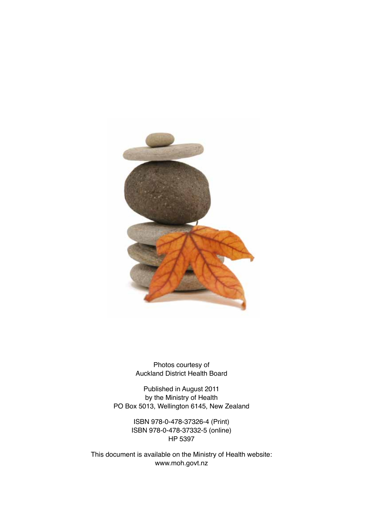<span id="page-1-0"></span>

Photos courtesy of Auckland District Health Board

Published in August 2011 by the Ministry of Health PO Box 5013, Wellington 6145, New Zealand

> ISBN 978-0-478-37326-4 (Print) ISBN 978-0-478-37332-5 (online) HP 5397

This document is available on the Ministry of Health website: www.moh.govt.nz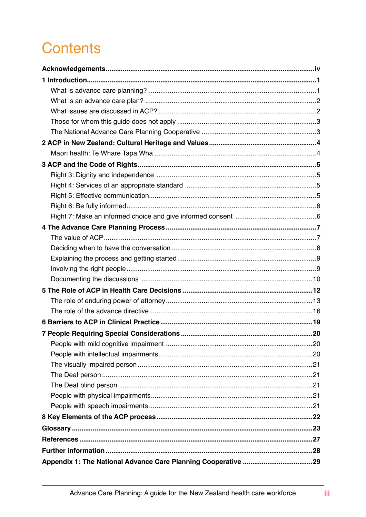### **Contents**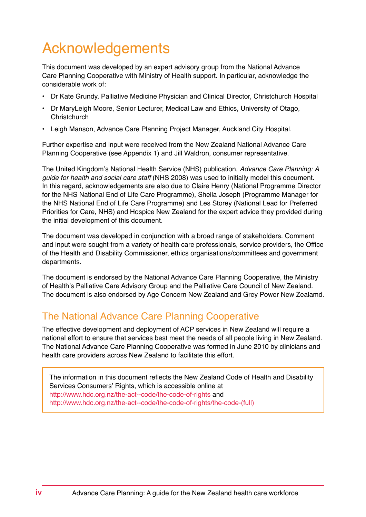### <span id="page-3-0"></span>Acknowledgements

This document was developed by an expert advisory group from the National Advance Care Planning Cooperative with Ministry of Health support. In particular, acknowledge the considerable work of:

- Dr Kate Grundy, Palliative Medicine Physician and Clinical Director, Christchurch Hospital
- Dr MaryLeigh Moore, Senior Lecturer, Medical Law and Ethics, University of Otago, **Christchurch**
- Leigh Manson, Advance Care Planning Project Manager, Auckland City Hospital.

Further expertise and input were received from the New Zealand National Advance Care Planning Cooperative (see Appendix 1) and Jill Waldron, consumer representative.

The United Kingdom's National Health Service (NHS) publication, Advance Care Planning: A guide for health and social care staff (NHS 2008) was used to initially model this document. In this regard, acknowledgements are also due to Claire Henry (National Programme Director for the NHS National End of Life Care Programme), Sheila Joseph (Programme Manager for the NHS National End of Life Care Programme) and Les Storey (National Lead for Preferred Priorities for Care, NHS) and Hospice New Zealand for the expert advice they provided during the initial development of this document.

The document was developed in conjunction with a broad range of stakeholders. Comment and input were sought from a variety of health care professionals, service providers, the Office of the Health and Disability Commissioner, ethics organisations/committees and government departments.

The document is endorsed by the National Advance Care Planning Cooperative, the Ministry of Health's Palliative Care Advisory Group and the Palliative Care Council of New Zealand. The document is also endorsed by Age Concern New Zealand and Grey Power New Zealamd.

#### The National Advance Care Planning Cooperative

The effective development and deployment of ACP services in New Zealand will require a national effort to ensure that services best meet the needs of all people living in New Zealand. The National Advance Care Planning Cooperative was formed in June 2010 by clinicians and health care providers across New Zealand to facilitate this effort.

The information in this document reflects the New Zealand Code of Health and Disability Services Consumers' Rights, which is accessible online at http://www.hdc.org.nz/the-act--code/the-code-of-rights and http://www.hdc.org.nz/the-act--code/the-code-of-rights/the-code-(full)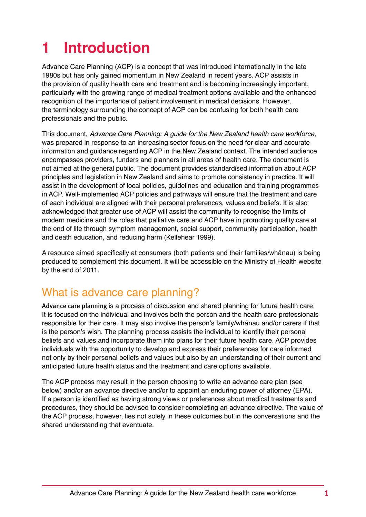## **1 Introduction**

Advance Care Planning (ACP) is a concept that was introduced internationally in the late 1980s but has only gained momentum in New Zealand in recent years. ACP assists in the provision of quality health care and treatment and is becoming increasingly important, particularly with the growing range of medical treatment options available and the enhanced recognition of the importance of patient involvement in medical decisions. However, the terminology surrounding the concept of ACP can be confusing for both health care professionals and the public.

This document, Advance Care Planning: A guide for the New Zealand health care workforce, was prepared in response to an increasing sector focus on the need for clear and accurate information and guidance regarding ACP in the New Zealand context. The intended audience encompasses providers, funders and planners in all areas of health care. The document is not aimed at the general public. The document provides standardised information about ACP principles and legislation in New Zealand and aims to promote consistency in practice. It will assist in the development of local policies, guidelines and education and training programmes in ACP. Well-implemented ACP policies and pathways will ensure that the treatment and care of each individual are aligned with their personal preferences, values and beliefs. It is also acknowledged that greater use of ACP will assist the community to recognise the limits of modern medicine and the roles that palliative care and ACP have in promoting quality care at the end of life through symptom management, social support, community participation, health and death education, and reducing harm (Kellehear 1999).

A resource aimed specifically at consumers (both patients and their families/whanau) is being produced to complement this document. It will be accessible on the Ministry of Health website by the end of 2011.

#### What is advance care planning?

Advance care planning is a process of discussion and shared planning for future health care. It is focused on the individual and involves both the person and the health care professionals responsible for their care. It may also involve the person's family/whanau and/or carers if that is the person's wish. The planning process assists the individual to identify their personal beliefs and values and incorporate them into plans for their future health care. ACP provides individuals with the opportunity to develop and express their preferences for care informed not only by their personal beliefs and values but also by an understanding of their current and anticipated future health status and the treatment and care options available.

The ACP process may result in the person choosing to write an advance care plan (see below) and/or an advance directive and/or to appoint an enduring power of attorney (EPA). If a person is identified as having strong views or preferences about medical treatments and procedures, they should be advised to consider completing an advance directive. The value of the ACP process, however, lies not solely in these outcomes but in the conversations and the shared understanding that eventuate.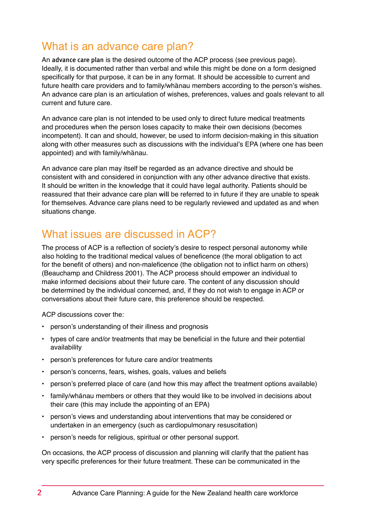#### What is an advance care plan?

An advance care plan is the desired outcome of the ACP process (see previous page). Ideally, it is documented rather than verbal and while this might be done on a form designed specifically for that purpose, it can be in any format. It should be accessible to current and future health care providers and to family/whanau members according to the person's wishes. An advance care plan is an articulation of wishes, preferences, values and goals relevant to all current and future care.

An advance care plan is not intended to be used only to direct future medical treatments and procedures when the person loses capacity to make their own decisions (becomes incompetent). It can and should, however, be used to inform decision-making in this situation along with other measures such as discussions with the individual's EPA (where one has been appointed) and with family/whanau.

An advance care plan may itself be regarded as an advance directive and should be consistent with and considered in conjunction with any other advance directive that exists. It should be written in the knowledge that it could have legal authority. Patients should be reassured that their advance care plan will be referred to in future if they are unable to speak for themselves. Advance care plans need to be regularly reviewed and updated as and when situations change.

#### What issues are discussed in ACP?

The process of ACP is a reflection of society's desire to respect personal autonomy while also holding to the traditional medical values of beneficence (the moral obligation to act for the benefit of others) and non-maleficence (the obligation not to inflict harm on others) (Beauchamp and Childress 2001). The ACP process should empower an individual to make informed decisions about their future care. The content of any discussion should be determined by the individual concerned, and, if they do not wish to engage in ACP or conversations about their future care, this preference should be respected.

ACP discussions cover the:

- • person's understanding of their illness and prognosis
- types of care and/or treatments that may be beneficial in the future and their potential availability
- • person's preferences for future care and/or treatments
- person's concerns, fears, wishes, goals, values and beliefs
- person's preferred place of care (and how this may affect the treatment options available)
- family/whānau members or others that they would like to be involved in decisions about their care (this may include the appointing of an EPA)
- • person's views and understanding about interventions that may be considered or undertaken in an emergency (such as cardiopulmonary resuscitation)
- person's needs for religious, spiritual or other personal support.

On occasions, the ACP process of discussion and planning will clarify that the patient has very specific preferences for their future treatment. These can be communicated in the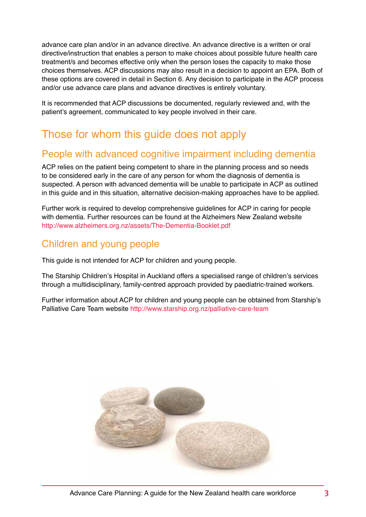advance care plan and/or in an advance directive. An advance directive is a written or oral directive/instruction that enables a person to make choices about possible future health care treatment/s and becomes effective only when the person loses the capacity to make those choices themselves. ACP discussions may also result in a decision to appoint an EPA. Both of these options are covered in detail in Section 6. Any decision to participate in the ACP process and/or use advance care plans and advance directives is entirely voluntary.

It is recommended that ACP discussions be documented, regularly reviewed and, with the patient's agreement, communicated to key people involved in their care.

### Those for whom this guide does not apply

#### People with advanced cognitive impairment including dementia

ACP relies on the patient being competent to share in the planning process and so needs to be considered early in the care of any person for whom the diagnosis of dementia is suspected. A person with advanced dementia will be unable to participate in ACP as outlined in this guide and in this situation, alternative decision-making approaches have to be applied.

Further work is required to develop comprehensive guidelines for ACP in caring for people with dementia. Further resources can be found at the Alzheimers New Zealand website http://www.alzheimers.org.nz/assets/The-Dementia-Booklet.pdf

#### Children and young people

This guide is not intended for ACP for children and young people.

The Starship Children's Hospital in Auckland offers a specialised range of children's services through a multidisciplinary, family-centred approach provided by paediatric-trained workers.

Further information about ACP for children and young people can be obtained from Starship's Palliative Care Team website http://www.starship.org.nz/palliative-care-team

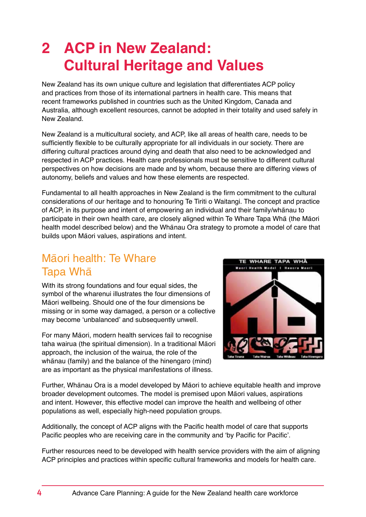### <span id="page-7-0"></span>**2 ACP in New Zealand: Cultural Heritage and Values**

New Zealand has its own unique culture and legislation that differentiates ACP policy and practices from those of its international partners in health care. This means that recent frameworks published in countries such as the United Kingdom, Canada and Australia, although excellent resources, cannot be adopted in their totality and used safely in New Zealand.

New Zealand is a multicultural society, and ACP, like all areas of health care, needs to be sufficiently flexible to be culturally appropriate for all individuals in our society. There are differing cultural practices around dying and death that also need to be acknowledged and respected in ACP practices. Health care professionals must be sensitive to different cultural perspectives on how decisions are made and by whom, because there are differing views of autonomy, beliefs and values and how these elements are respected.

Fundamental to all health approaches in New Zealand is the firm commitment to the cultural considerations of our heritage and to honouring Te Tiriti o Waitangi. The concept and practice of ACP, in its purpose and intent of empowering an individual and their family/whanau to participate in their own health care, are closely aligned within Te Whare Tapa Wha (the Maori health model described below) and the Whanau Ora strategy to promote a model of care that builds upon Māori values, aspirations and intent.

#### Māori health: Te Whare Tapa Wha¯

With its strong foundations and four equal sides, the symbol of the wharenui illustrates the four dimensions of Māori wellbeing. Should one of the four dimensions be missing or in some way damaged, a person or a collective may become 'unbalanced' and subsequently unwell.

For many Māori, modern health services fail to recognise taha wairua (the spiritual dimension). In a traditional Māori approach, the inclusion of the wairua, the role of the whanau (family) and the balance of the hinengaro (mind) are as important as the physical manifestations of illness.



Further, Whanau Ora is a model developed by Maori to achieve equitable health and improve broader development outcomes. The model is premised upon Māori values, aspirations and intent. However, this effective model can improve the health and wellbeing of other populations as well, especially high-need population groups.

Additionally, the concept of ACP aligns with the Pacific health model of care that supports Pacific peoples who are receiving care in the community and 'by Pacific for Pacific'.

Further resources need to be developed with health service providers with the aim of aligning ACP principles and practices within specific cultural frameworks and models for health care.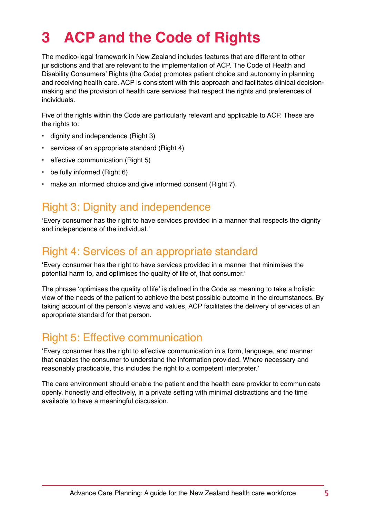### <span id="page-8-0"></span>**3 ACP and the Code of Rights**

The medico-legal framework in New Zealand includes features that are different to other jurisdictions and that are relevant to the implementation of ACP. The Code of Health and Disability Consumers' Rights (the Code) promotes patient choice and autonomy in planning and receiving health care. ACP is consistent with this approach and facilitates clinical decisionmaking and the provision of health care services that respect the rights and preferences of individuals.

Five of the rights within the Code are particularly relevant and applicable to ACP. These are the rights to:

- dignity and independence (Right 3)
- services of an appropriate standard (Right 4)
- effective communication (Right 5)
- be fully informed (Right 6)
- make an informed choice and give informed consent (Right 7).

#### Right 3: Dignity and independence

'Every consumer has the right to have services provided in a manner that respects the dignity and independence of the individual.'

#### Right 4: Services of an appropriate standard

'Every consumer has the right to have services provided in a manner that minimises the potential harm to, and optimises the quality of life of, that consumer.'

The phrase 'optimises the quality of life' is defined in the Code as meaning to take a holistic view of the needs of the patient to achieve the best possible outcome in the circumstances. By taking account of the person's views and values, ACP facilitates the delivery of services of an appropriate standard for that person.

#### Right 5: Effective communication

'Every consumer has the right to effective communication in a form, language, and manner that enables the consumer to understand the information provided. Where necessary and reasonably practicable, this includes the right to a competent interpreter.'

The care environment should enable the patient and the health care provider to communicate openly, honestly and effectively, in a private setting with minimal distractions and the time available to have a meaningful discussion.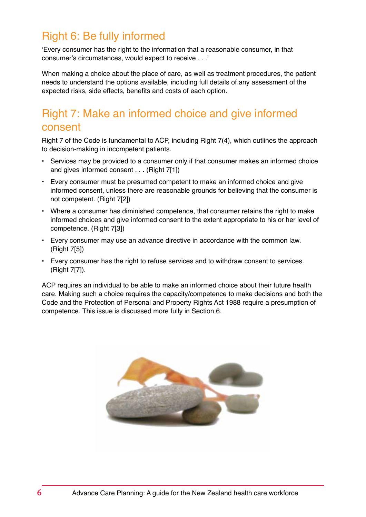#### <span id="page-9-0"></span>Right 6: Be fully informed

'Every consumer has the right to the information that a reasonable consumer, in that consumer's circumstances, would expect to receive . . .'

When making a choice about the place of care, as well as treatment procedures, the patient needs to understand the options available, including full details of any assessment of the expected risks, side effects, benefits and costs of each option.

#### Right 7: Make an informed choice and give informed consent

Right 7 of the Code is fundamental to ACP, including Right 7(4), which outlines the approach to decision-making in incompetent patients.

- Services may be provided to a consumer only if that consumer makes an informed choice and gives informed consent . . . (Right 7[1])
- Every consumer must be presumed competent to make an informed choice and give informed consent, unless there are reasonable grounds for believing that the consumer is not competent. (Right 7[2])
- Where a consumer has diminished competence, that consumer retains the right to make informed choices and give informed consent to the extent appropriate to his or her level of competence. (Right 7[3])
- Every consumer may use an advance directive in accordance with the common law. (Right 7[5])
- Every consumer has the right to refuse services and to withdraw consent to services. (Right 7[7]).

ACP requires an individual to be able to make an informed choice about their future health care. Making such a choice requires the capacity/competence to make decisions and both the Code and the Protection of Personal and Property Rights Act 1988 require a presumption of competence. This issue is discussed more fully in Section 6.

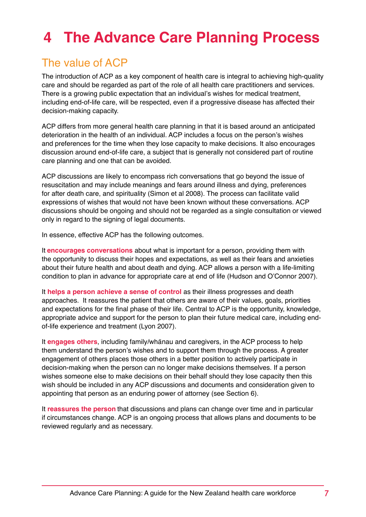### <span id="page-10-0"></span>**4 The Advance Care Planning Process**

#### The value of ACP

The introduction of ACP as a key component of health care is integral to achieving high-quality care and should be regarded as part of the role of all health care practitioners and services. There is a growing public expectation that an individual's wishes for medical treatment, including end-of-life care, will be respected, even if a progressive disease has affected their decision-making capacity.

ACP differs from more general health care planning in that it is based around an anticipated deterioration in the health of an individual. ACP includes a focus on the person's wishes and preferences for the time when they lose capacity to make decisions. It also encourages discussion around end-of-life care, a subject that is generally not considered part of routine care planning and one that can be avoided.

ACP discussions are likely to encompass rich conversations that go beyond the issue of resuscitation and may include meanings and fears around illness and dying, preferences for after death care, and spirituality (Simon et al 2008). The process can facilitate valid expressions of wishes that would not have been known without these conversations. ACP discussions should be ongoing and should not be regarded as a single consultation or viewed only in regard to the signing of legal documents.

In essence, effective ACP has the following outcomes.

It **encourages conversations** about what is important for a person, providing them with the opportunity to discuss their hopes and expectations, as well as their fears and anxieties about their future health and about death and dying. ACP allows a person with a life-limiting condition to plan in advance for appropriate care at end of life (Hudson and O'Connor 2007).

It **helps a person achieve a sense of control** as their illness progresses and death approaches. It reassures the patient that others are aware of their values, goals, priorities and expectations for the final phase of their life. Central to ACP is the opportunity, knowledge, appropriate advice and support for the person to plan their future medical care, including endof-life experience and treatment (Lyon 2007).

It **engages others**, including family/whanau and caregivers, in the ACP process to help them understand the person's wishes and to support them through the process. A greater engagement of others places those others in a better position to actively participate in decision-making when the person can no longer make decisions themselves. If a person wishes someone else to make decisions on their behalf should they lose capacity then this wish should be included in any ACP discussions and documents and consideration given to appointing that person as an enduring power of attorney (see Section 6).

It **reassures the person** that discussions and plans can change over time and in particular if circumstances change. ACP is an ongoing process that allows plans and documents to be reviewed regularly and as necessary.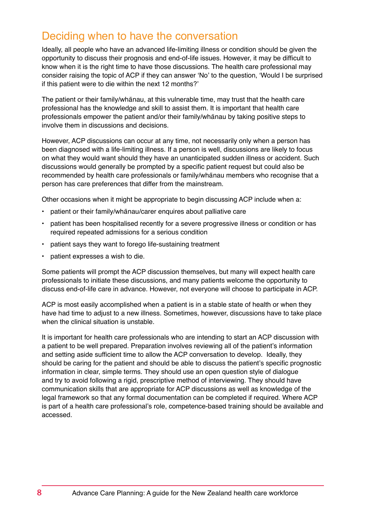#### <span id="page-11-0"></span>Deciding when to have the conversation

Ideally, all people who have an advanced life-limiting illness or condition should be given the opportunity to discuss their prognosis and end-of-life issues. However, it may be difficult to know when it is the right time to have those discussions. The health care professional may consider raising the topic of ACP if they can answer 'No' to the question, 'Would I be surprised if this patient were to die within the next 12 months?'

The patient or their family/whanau, at this vulnerable time, may trust that the health care professional has the knowledge and skill to assist them. It is important that health care professionals empower the patient and/or their family/whanau by taking positive steps to involve them in discussions and decisions.

However, ACP discussions can occur at any time, not necessarily only when a person has been diagnosed with a life-limiting illness. If a person is well, discussions are likely to focus on what they would want should they have an unanticipated sudden illness or accident. Such discussions would generally be prompted by a specific patient request but could also be recommended by health care professionals or family/whanau members who recognise that a person has care preferences that differ from the mainstream.

Other occasions when it might be appropriate to begin discussing ACP include when a:

- patient or their family/whanau/carer enquires about palliative care
- patient has been hospitalised recently for a severe progressive illness or condition or has required repeated admissions for a serious condition
- patient says they want to forego life-sustaining treatment
- patient expresses a wish to die.

Some patients will prompt the ACP discussion themselves, but many will expect health care professionals to initiate these discussions, and many patients welcome the opportunity to discuss end-of-life care in advance. However, not everyone will choose to participate in ACP.

ACP is most easily accomplished when a patient is in a stable state of health or when they have had time to adjust to a new illness. Sometimes, however, discussions have to take place when the clinical situation is unstable.

It is important for health care professionals who are intending to start an ACP discussion with a patient to be well prepared. Preparation involves reviewing all of the patient's information and setting aside sufficient time to allow the ACP conversation to develop. Ideally, they should be caring for the patient and should be able to discuss the patient's specific prognostic information in clear, simple terms. They should use an open question style of dialogue and try to avoid following a rigid, prescriptive method of interviewing. They should have communication skills that are appropriate for ACP discussions as well as knowledge of the legal framework so that any formal documentation can be completed if required. Where ACP is part of a health care professional's role, competence-based training should be available and accessed.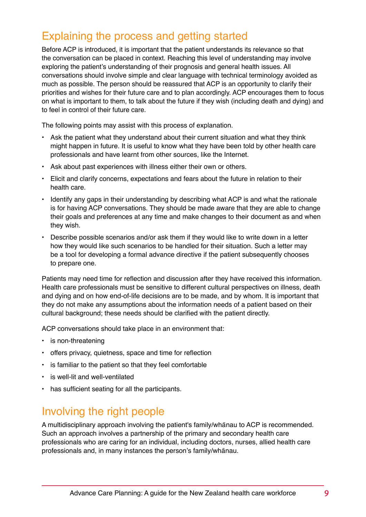#### <span id="page-12-0"></span>Explaining the process and getting started

Before ACP is introduced, it is important that the patient understands its relevance so that the conversation can be placed in context. Reaching this level of understanding may involve exploring the patient's understanding of their prognosis and general health issues. All conversations should involve simple and clear language with technical terminology avoided as much as possible. The person should be reassured that ACP is an opportunity to clarify their priorities and wishes for their future care and to plan accordingly. ACP encourages them to focus on what is important to them, to talk about the future if they wish (including death and dying) and to feel in control of their future care.

The following points may assist with this process of explanation.

- Ask the patient what they understand about their current situation and what they think might happen in future. It is useful to know what they have been told by other health care professionals and have learnt from other sources, like the Internet.
- Ask about past experiences with illness either their own or others.
- Elicit and clarify concerns, expectations and fears about the future in relation to their health care.
- Identify any gaps in their understanding by describing what ACP is and what the rationale is for having ACP conversations. They should be made aware that they are able to change their goals and preferences at any time and make changes to their document as and when they wish.
- Describe possible scenarios and/or ask them if they would like to write down in a letter how they would like such scenarios to be handled for their situation. Such a letter may be a tool for developing a formal advance directive if the patient subsequently chooses to prepare one.

Patients may need time for reflection and discussion after they have received this information. Health care professionals must be sensitive to different cultural perspectives on illness, death and dying and on how end-of-life decisions are to be made, and by whom. It is important that they do not make any assumptions about the information needs of a patient based on their cultural background; these needs should be clarified with the patient directly.

ACP conversations should take place in an environment that:

- is non-threatening
- offers privacy, quietness, space and time for reflection
- is familiar to the patient so that they feel comfortable
- is well-lit and well-ventilated
- has sufficient seating for all the participants.

#### Involving the right people

A multidisciplinary approach involving the patient's family/whanau to ACP is recommended. Such an approach involves a partnership of the primary and secondary health care professionals who are caring for an individual, including doctors, nurses, allied health care professionals and, in many instances the person's family/whanau.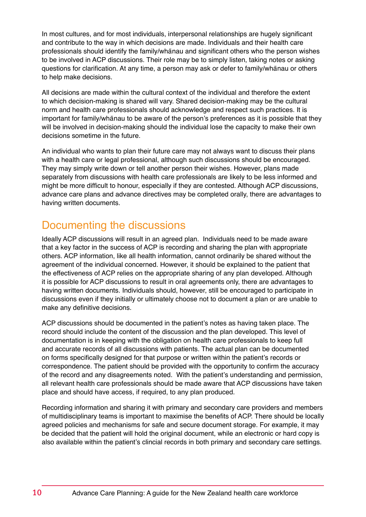<span id="page-13-0"></span>In most cultures, and for most individuals, interpersonal relationships are hugely significant and contribute to the way in which decisions are made. Individuals and their health care professionals should identify the family/whanau and significant others who the person wishes to be involved in ACP discussions. Their role may be to simply listen, taking notes or asking questions for clarification. At any time, a person may ask or defer to family/whanau or others to help make decisions.

All decisions are made within the cultural context of the individual and therefore the extent to which decision-making is shared will vary. Shared decision-making may be the cultural norm and health care professionals should acknowledge and respect such practices. It is important for family/whanau to be aware of the person's preferences as it is possible that they will be involved in decision-making should the individual lose the capacity to make their own decisions sometime in the future.

An individual who wants to plan their future care may not always want to discuss their plans with a health care or legal professional, although such discussions should be encouraged. They may simply write down or tell another person their wishes. However, plans made separately from discussions with health care professionals are likely to be less informed and might be more difficult to honour, especially if they are contested. Although ACP discussions, advance care plans and advance directives may be completed orally, there are advantages to having written documents.

#### Documenting the discussions

Ideally ACP discussions will result in an agreed plan. Individuals need to be made aware that a key factor in the success of ACP is recording and sharing the plan with appropriate others. ACP information, like all health information, cannot ordinarily be shared without the agreement of the individual concerned. However, it should be explained to the patient that the effectiveness of ACP relies on the appropriate sharing of any plan developed. Although it is possible for ACP discussions to result in oral agreements only, there are advantages to having written documents. Individuals should, however, still be encouraged to participate in discussions even if they initially or ultimately choose not to document a plan or are unable to make any definitive decisions.

ACP discussions should be documented in the patient's notes as having taken place. The record should include the content of the discussion and the plan developed. This level of documentation is in keeping with the obligation on health care professionals to keep full and accurate records of all discussions with patients. The actual plan can be documented on forms specifically designed for that purpose or written within the patient's records or correspondence. The patient should be provided with the opportunity to confirm the accuracy of the record and any disagreements noted. With the patient's understanding and permission, all relevant health care professionals should be made aware that ACP discussions have taken place and should have access, if required, to any plan produced.

Recording information and sharing it with primary and secondary care providers and members of multidisciplinary teams is important to maximise the benefits of ACP. There should be locally agreed policies and mechanisms for safe and secure document storage. For example, it may be decided that the patient will hold the original document, while an electronic or hard copy is also available within the patient's clincial records in both primary and secondary care settings.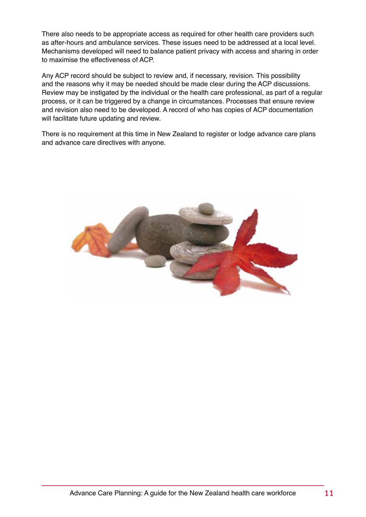There also needs to be appropriate access as required for other health care providers such as after-hours and ambulance services. These issues need to be addressed at a local level. Mechanisms developed will need to balance patient privacy with access and sharing in order to maximise the effectiveness of ACP.

Any ACP record should be subject to review and, if necessary, revision. This possibility and the reasons why it may be needed should be made clear during the ACP discussions. Review may be instigated by the individual or the health care professional, as part of a regular process, or it can be triggered by a change in circumstances. Processes that ensure review and revision also need to be developed. A record of who has copies of ACP documentation will facilitate future updating and review.

There is no requirement at this time in New Zealand to register or lodge advance care plans and advance care directives with anyone.

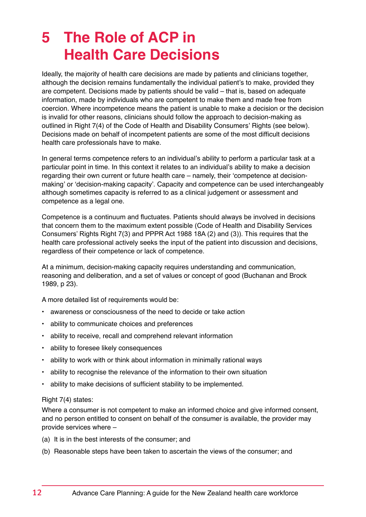### <span id="page-15-0"></span>**5 The Role of ACP in Health Care Decisions**

Ideally, the majority of health care decisions are made by patients and clinicians together, although the decision remains fundamentally the individual patient's to make, provided they are competent. Decisions made by patients should be valid – that is, based on adequate information, made by individuals who are competent to make them and made free from coercion. Where incompetence means the patient is unable to make a decision or the decision is invalid for other reasons, clinicians should follow the approach to decision-making as outlined in Right 7(4) of the Code of Health and Disability Consumers' Rights (see below). Decisions made on behalf of incompetent patients are some of the most difficult decisions health care professionals have to make.

In general terms competence refers to an individual's ability to perform a particular task at a particular point in time. In this context it relates to an individual's ability to make a decision regarding their own current or future health care – namely, their 'competence at decisionmaking' or 'decision-making capacity'. Capacity and competence can be used interchangeably although sometimes capacity is referred to as a clinical judgement or assessment and competence as a legal one.

Competence is a continuum and fluctuates. Patients should always be involved in decisions that concern them to the maximum extent possible (Code of Health and Disability Services Consumers' Rights Right 7(3) and PPPR Act 1988 18A (2) and (3)). This requires that the health care professional actively seeks the input of the patient into discussion and decisions, regardless of their competence or lack of competence.

At a minimum, decision-making capacity requires understanding and communication, reasoning and deliberation, and a set of values or concept of good (Buchanan and Brock 1989, p 23).

A more detailed list of requirements would be:

- awareness or consciousness of the need to decide or take action
- ability to communicate choices and preferences
- ability to receive, recall and comprehend relevant information
- ability to foresee likely consequences
- ability to work with or think about information in minimally rational ways
- ability to recognise the relevance of the information to their own situation
- ability to make decisions of sufficient stability to be implemented.

#### Right 7(4) states:

Where a consumer is not competent to make an informed choice and give informed consent, and no person entitled to consent on behalf of the consumer is available, the provider may provide services where –

- (a) It is in the best interests of the consumer; and
- (b) Reasonable steps have been taken to ascertain the views of the consumer; and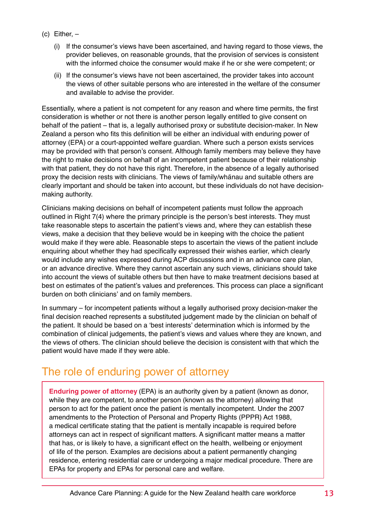- <span id="page-16-0"></span> $(c)$  Either,  $-$ 
	- (i) If the consumer's views have been ascertained, and having regard to those views, the provider believes, on reasonable grounds, that the provision of services is consistent with the informed choice the consumer would make if he or she were competent; or
	- (ii) If the consumer's views have not been ascertained, the provider takes into account the views of other suitable persons who are interested in the welfare of the consumer and available to advise the provider.

Essentially, where a patient is not competent for any reason and where time permits, the first consideration is whether or not there is another person legally entitled to give consent on behalf of the patient – that is, a legally authorised proxy or substitute decision-maker. In New Zealand a person who fits this definition will be either an individual with enduring power of attorney (EPA) or a court-appointed welfare guardian. Where such a person exists services may be provided with that person's consent. Although family members may believe they have the right to make decisions on behalf of an incompetent patient because of their relationship with that patient, they do not have this right. Therefore, in the absence of a legally authorised proxy the decision rests with clinicians. The views of family/whanau and suitable others are clearly important and should be taken into account, but these individuals do not have decisionmaking authority.

Clinicians making decisions on behalf of incompetent patients must follow the approach outlined in Right 7(4) where the primary principle is the person's best interests. They must take reasonable steps to ascertain the patient's views and, where they can establish these views, make a decision that they believe would be in keeping with the choice the patient would make if they were able. Reasonable steps to ascertain the views of the patient include enquiring about whether they had specifically expressed their wishes earlier, which clearly would include any wishes expressed during ACP discussions and in an advance care plan, or an advance directive. Where they cannot ascertain any such views, clinicians should take into account the views of suitable others but then have to make treatment decisions based at best on estimates of the patient's values and preferences. This process can place a significant burden on both clinicians' and on family members.

In summary – for incompetent patients without a legally authorised proxy decision-maker the final decision reached represents a substituted judgement made by the clinician on behalf of the patient. It should be based on a 'best interests' determination which is informed by the combination of clinical judgements, the patient's views and values where they are known, and the views of others. The clinician should believe the decision is consistent with that which the patient would have made if they were able.

#### The role of enduring power of attorney

**Enduring power of attorney** (EPA) is an authority given by a patient (known as donor, while they are competent, to another person (known as the attorney) allowing that person to act for the patient once the patient is mentally incompetent. Under the 2007 amendments to the Protection of Personal and Property Rights (PPPR) Act 1988, a medical certificate stating that the patient is mentally incapable is required before attorneys can act in respect of significant matters. A significant matter means a matter that has, or is likely to have, a significant effect on the health, wellbeing or enjoyment of life of the person. Examples are decisions about a patient permanently changing residence, entering residential care or undergoing a major medical procedure. There are EPAs for property and EPAs for personal care and welfare.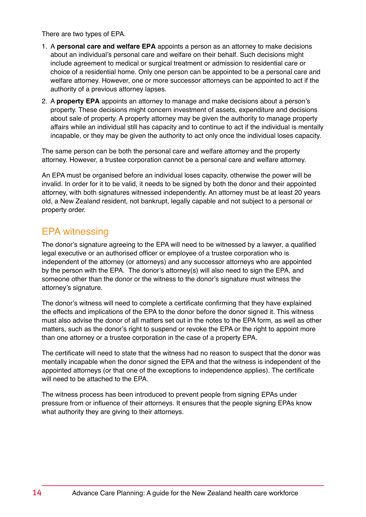There are two types of EPA.

- 1. A **personal care and welfare EPA** appoints a person as an attorney to make decisions about an individual's personal care and welfare on their behalf. Such decisions might include agreement to medical or surgical treatment or admission to residential care or choice of a residential home. Only one person can be appointed to be a personal care and welfare attorney. However, one or more successor attorneys can be appointed to act if the authority of a previous attorney lapses.
- 2. A **property EPA** appoints an attorney to manage and make decisions about a person's property. These decisions might concern investment of assets, expenditure and decisions about sale of property. A property attorney may be given the authority to manage property affairs while an individual still has capacity and to continue to act if the individual is mentally incapable, or they may be given the authority to act only once the individual loses capacity.

The same person can be both the personal care and welfare attorney and the property attorney. However, a trustee corporation cannot be a personal care and welfare attorney.

An EPA must be organised before an individual loses capacity, otherwise the power will be invalid. In order for it to be valid, it needs to be signed by both the donor and their appointed attorney, with both signatures witnessed independently. An attorney must be at least 20 years old, a New Zealand resident, not bankrupt, legally capable and not subject to a personal or property order.

#### EPA witnessing

The donor's signature agreeing to the EPA will need to be witnessed by a lawyer, a qualified legal executive or an authorised officer or employee of a trustee corporation who is independent of the attorney (or attorneys) and any successor attorneys who are appointed by the person with the EPA. The donor's attorney(s) will also need to sign the EPA, and someone other than the donor or the witness to the donor's signature must witness the attorney's signature.

The donor's witness will need to complete a certificate confirming that they have explained the effects and implications of the EPA to the donor before the donor signed it. This witness must also advise the donor of all matters set out in the notes to the EPA form, as well as other matters, such as the donor's right to suspend or revoke the EPA or the right to appoint more than one attorney or a trustee corporation in the case of a property EPA.

The certificate will need to state that the witness had no reason to suspect that the donor was mentally incapable when the donor signed the EPA and that the witness is independent of the appointed attorneys (or that one of the exceptions to independence applies). The certificate will need to be attached to the EPA.

The witness process has been introduced to prevent people from signing EPAs under pressure from or influence of their attorneys. It ensures that the people signing EPAs know what authority they are giving to their attorneys.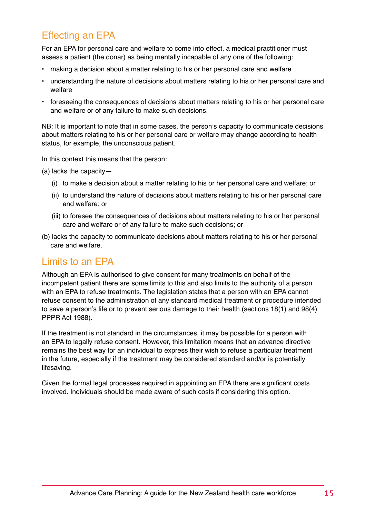#### Effecting an EPA

For an EPA for personal care and welfare to come into effect, a medical practitioner must assess a patient (the donar) as being mentally incapable of any one of the following:

- making a decision about a matter relating to his or her personal care and welfare
- understanding the nature of decisions about matters relating to his or her personal care and welfare
- foreseeing the consequences of decisions about matters relating to his or her personal care and welfare or of any failure to make such decisions.

NB: It is important to note that in some cases, the person's capacity to communicate decisions about matters relating to his or her personal care or welfare may change according to health status, for example, the unconscious patient.

In this context this means that the person:

(a) lacks the capacity—

- (i) to make a decision about a matter relating to his or her personal care and welfare; or
- (ii) to understand the nature of decisions about matters relating to his or her personal care and welfare; or
- (iii) to foresee the consequences of decisions about matters relating to his or her personal care and welfare or of any failure to make such decisions; or
- (b) lacks the capacity to communicate decisions about matters relating to his or her personal care and welfare.

#### Limits to an EPA

Although an EPA is authorised to give consent for many treatments on behalf of the incompetent patient there are some limits to this and also limits to the authority of a person with an EPA to refuse treatments. The legislation states that a person with an EPA cannot refuse consent to the administration of any standard medical treatment or procedure intended to save a person's life or to prevent serious damage to their health (sections 18(1) and 98(4) PPPR Act 1988).

If the treatment is not standard in the circumstances, it may be possible for a person with an EPA to legally refuse consent. However, this limitation means that an advance directive remains the best way for an individual to express their wish to refuse a particular treatment in the future, especially if the treatment may be considered standard and/or is potentially lifesaving.

Given the formal legal processes required in appointing an EPA there are significant costs involved. Individuals should be made aware of such costs if considering this option.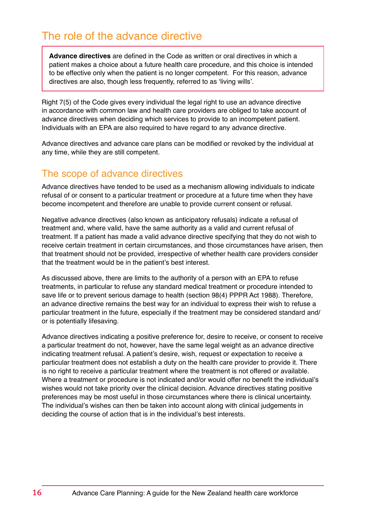<span id="page-19-0"></span>**Advance directives** are defined in the Code as written or oral directives in which a patient makes a choice about a future health care procedure, and this choice is intended to be effective only when the patient is no longer competent. For this reason, advance directives are also, though less frequently, referred to as 'living wills'.

Right 7(5) of the Code gives every individual the legal right to use an advance directive in accordance with common law and health care providers are obliged to take account of advance directives when deciding which services to provide to an incompetent patient. Individuals with an EPA are also required to have regard to any advance directive.

Advance directives and advance care plans can be modified or revoked by the individual at any time, while they are still competent.

#### The scope of advance directives

Advance directives have tended to be used as a mechanism allowing individuals to indicate refusal of or consent to a particular treatment or procedure at a future time when they have become incompetent and therefore are unable to provide current consent or refusal.

Negative advance directives (also known as anticipatory refusals) indicate a refusal of treatment and, where valid, have the same authority as a valid and current refusal of treatment. If a patient has made a valid advance directive specifying that they do not wish to receive certain treatment in certain circumstances, and those circumstances have arisen, then that treatment should not be provided, irrespective of whether health care providers consider that the treatment would be in the patient's best interest.

As discussed above, there are limits to the authority of a person with an EPA to refuse treatments, in particular to refuse any standard medical treatment or procedure intended to save life or to prevent serious damage to health (section 98(4) PPPR Act 1988). Therefore, an advance directive remains the best way for an individual to express their wish to refuse a particular treatment in the future, especially if the treatment may be considered standard and/ or is potentially lifesaving.

Advance directives indicating a positive preference for, desire to receive, or consent to receive a particular treatment do not, however, have the same legal weight as an advance directive indicating treatment refusal. A patient's desire, wish, request or expectation to receive a particular treatment does not establish a duty on the health care provider to provide it. There is no right to receive a particular treatment where the treatment is not offered or available. Where a treatment or procedure is not indicated and/or would offer no benefit the individual's wishes would not take priority over the clinical decision. Advance directives stating positive preferences may be most useful in those circumstances where there is clinical uncertainty. The individual's wishes can then be taken into account along with clinical judgements in deciding the course of action that is in the individual's best interests.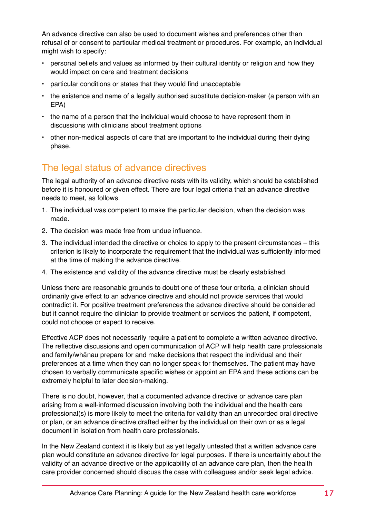An advance directive can also be used to document wishes and preferences other than refusal of or consent to particular medical treatment or procedures. For example, an individual might wish to specify:

- personal beliefs and values as informed by their cultural identity or religion and how they would impact on care and treatment decisions
- particular conditions or states that they would find unacceptable
- the existence and name of a legally authorised substitute decision-maker (a person with an EPA)
- the name of a person that the individual would choose to have represent them in discussions with clinicians about treatment options
- other non-medical aspects of care that are important to the individual during their dying phase.

#### The legal status of advance directives

The legal authority of an advance directive rests with its validity, which should be established before it is honoured or given effect. There are four legal criteria that an advance directive needs to meet, as follows.

- 1. The individual was competent to make the particular decision, when the decision was made.
- 2. The decision was made free from undue influence.
- 3. The individual intended the directive or choice to apply to the present circumstances this criterion is likely to incorporate the requirement that the individual was sufficiently informed at the time of making the advance directive.
- 4. The existence and validity of the advance directive must be clearly established.

Unless there are reasonable grounds to doubt one of these four criteria, a clinician should ordinarily give effect to an advance directive and should not provide services that would contradict it. For positive treatment preferences the advance directive should be considered but it cannot require the clinician to provide treatment or services the patient, if competent, could not choose or expect to receive.

Effective ACP does not necessarily require a patient to complete a written advance directive. The reflective discussions and open communication of ACP will help health care professionals and family/whanau prepare for and make decisions that respect the individual and their preferences at a time when they can no longer speak for themselves. The patient may have chosen to verbally communicate specific wishes or appoint an EPA and these actions can be extremely helpful to later decision-making.

There is no doubt, however, that a documented advance directive or advance care plan arising from a well-informed discussion involving both the individual and the health care professional(s) is more likely to meet the criteria for validity than an unrecorded oral directive or plan, or an advance directive drafted either by the individual on their own or as a legal document in isolation from health care professionals.

In the New Zealand context it is likely but as yet legally untested that a written advance care plan would constitute an advance directive for legal purposes. If there is uncertainty about the validity of an advance directive or the applicability of an advance care plan, then the health care provider concerned should discuss the case with colleagues and/or seek legal advice.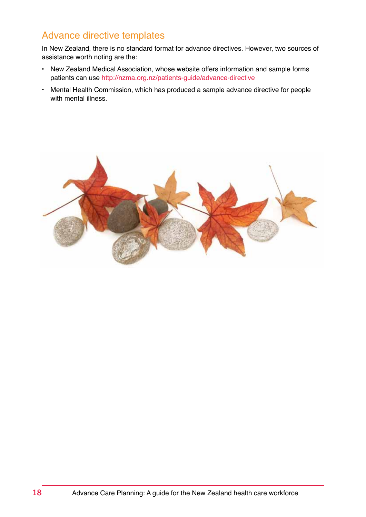#### Advance directive templates

In New Zealand, there is no standard format for advance directives. However, two sources of assistance worth noting are the:

- New Zealand Medical Association, whose website offers information and sample forms patients can use <http://nzma.org.nz/patients-guide/advance-directive>
- Mental Health Commission, which has produced a sample advance directive for people with mental illness.

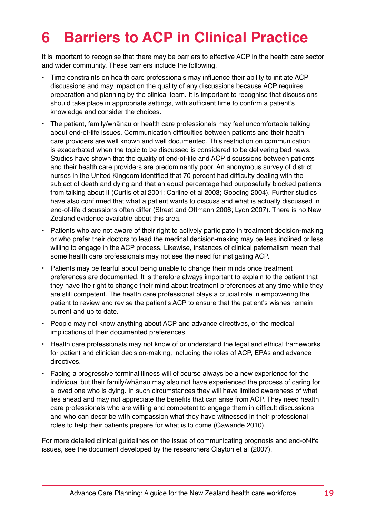### <span id="page-22-0"></span>**6 Barriers to ACP in Clinical Practice**

It is important to recognise that there may be barriers to effective ACP in the health care sector and wider community. These barriers include the following.

- Time constraints on health care professionals may influence their ability to initiate ACP discussions and may impact on the quality of any discussions because ACP requires preparation and planning by the clinical team. It is important to recognise that discussions should take place in appropriate settings, with sufficient time to confirm a patient's knowledge and consider the choices.
- The patient, family/whanau or health care professionals may feel uncomfortable talking about end-of-life issues. Communication difficulties between patients and their health care providers are well known and well documented. This restriction on communication is exacerbated when the topic to be discussed is considered to be delivering bad news. Studies have shown that the quality of end-of-life and ACP discussions between patients and their health care providers are predominantly poor. An anonymous survey of district nurses in the United Kingdom identified that 70 percent had difficulty dealing with the subject of death and dying and that an equal percentage had purposefully blocked patients from talking about it (Curtis et al 2001; Carline et al 2003; Gooding 2004). Further studies have also confirmed that what a patient wants to discuss and what is actually discussed in end-of-life discussions often differ (Street and Ottmann 2006; Lyon 2007). There is no New Zealand evidence available about this area.
- Patients who are not aware of their right to actively participate in treatment decision-making or who prefer their doctors to lead the medical decision-making may be less inclined or less willing to engage in the ACP process. Likewise, instances of clinical paternalism mean that some health care professionals may not see the need for instigating ACP.
- Patients may be fearful about being unable to change their minds once treatment preferences are documented. It is therefore always important to explain to the patient that they have the right to change their mind about treatment preferences at any time while they are still competent. The health care professional plays a crucial role in empowering the patient to review and revise the patient's ACP to ensure that the patient's wishes remain current and up to date.
- People may not know anything about ACP and advance directives, or the medical implications of their documented preferences.
- Health care professionals may not know of or understand the legal and ethical frameworks for patient and clinician decision-making, including the roles of ACP, EPAs and advance directives.
- Facing a progressive terminal illness will of course always be a new experience for the individual but their family/whanau may also not have experienced the process of caring for a loved one who is dying. In such circumstances they will have limited awareness of what lies ahead and may not appreciate the benefits that can arise from ACP. They need health care professionals who are willing and competent to engage them in difficult discussions and who can describe with compassion what they have witnessed in their professional roles to help their patients prepare for what is to come (Gawande 2010).

For more detailed clinical guidelines on the issue of communicating prognosis and end-of-life issues, see the document developed by the researchers Clayton et al (2007).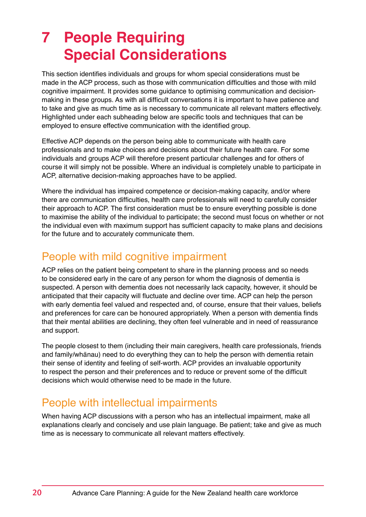### <span id="page-23-0"></span>**7 People Requiring Special Considerations**

This section identifies individuals and groups for whom special considerations must be made in the ACP process, such as those with communication difficulties and those with mild cognitive impairment. It provides some guidance to optimising communication and decisionmaking in these groups. As with all difficult conversations it is important to have patience and to take and give as much time as is necessary to communicate all relevant matters effectively. Highlighted under each subheading below are specific tools and techniques that can be employed to ensure effective communication with the identified group.

Effective ACP depends on the person being able to communicate with health care professionals and to make choices and decisions about their future health care. For some individuals and groups ACP will therefore present particular challenges and for others of course it will simply not be possible. Where an individual is completely unable to participate in ACP, alternative decision-making approaches have to be applied.

Where the individual has impaired competence or decision-making capacity, and/or where there are communication difficulties, health care professionals will need to carefully consider their approach to ACP. The first consideration must be to ensure everything possible is done to maximise the ability of the individual to participate; the second must focus on whether or not the individual even with maximum support has sufficient capacity to make plans and decisions for the future and to accurately communicate them.

#### People with mild cognitive impairment

ACP relies on the patient being competent to share in the planning process and so needs to be considered early in the care of any person for whom the diagnosis of dementia is suspected. A person with dementia does not necessarily lack capacity, however, it should be anticipated that their capacity will fluctuate and decline over time. ACP can help the person with early dementia feel valued and respected and, of course, ensure that their values, beliefs and preferences for care can be honoured appropriately. When a person with dementia finds that their mental abilities are declining, they often feel vulnerable and in need of reassurance and support.

The people closest to them (including their main caregivers, health care professionals, friends and family/whanau) need to do everything they can to help the person with dementia retain their sense of identity and feeling of self-worth. ACP provides an invaluable opportunity to respect the person and their preferences and to reduce or prevent some of the difficult decisions which would otherwise need to be made in the future.

#### People with intellectual impairments

When having ACP discussions with a person who has an intellectual impairment, make all explanations clearly and concisely and use plain language. Be patient; take and give as much time as is necessary to communicate all relevant matters effectively.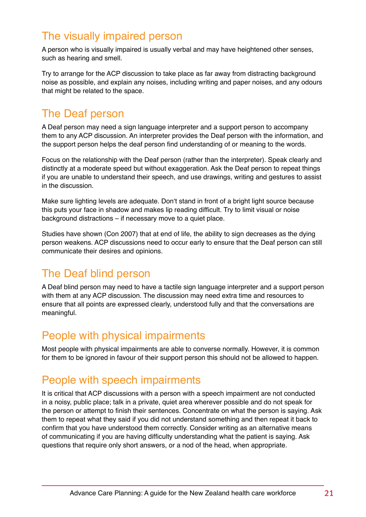#### <span id="page-24-0"></span>The visually impaired person

A person who is visually impaired is usually verbal and may have heightened other senses, such as hearing and smell.

Try to arrange for the ACP discussion to take place as far away from distracting background noise as possible, and explain any noises, including writing and paper noises, and any odours that might be related to the space.

#### The Deaf person

A Deaf person may need a sign language interpreter and a support person to accompany them to any ACP discussion. An interpreter provides the Deaf person with the information, and the support person helps the deaf person find understanding of or meaning to the words.

Focus on the relationship with the Deaf person (rather than the interpreter). Speak clearly and distinctly at a moderate speed but without exaggeration. Ask the Deaf person to repeat things if you are unable to understand their speech, and use drawings, writing and gestures to assist in the discussion.

Make sure lighting levels are adequate. Don't stand in front of a bright light source because this puts your face in shadow and makes lip reading difficult. Try to limit visual or noise background distractions – if necessary move to a quiet place.

Studies have shown (Con 2007) that at end of life, the ability to sign decreases as the dying person weakens. ACP discussions need to occur early to ensure that the Deaf person can still communicate their desires and opinions.

#### The Deaf blind person

A Deaf blind person may need to have a tactile sign language interpreter and a support person with them at any ACP discussion. The discussion may need extra time and resources to ensure that all points are expressed clearly, understood fully and that the conversations are meaningful.

#### People with physical impairments

Most people with physical impairments are able to converse normally. However, it is common for them to be ignored in favour of their support person this should not be allowed to happen.

#### People with speech impairments

It is critical that ACP discussions with a person with a speech impairment are not conducted in a noisy, public place; talk in a private, quiet area wherever possible and do not speak for the person or attempt to finish their sentences. Concentrate on what the person is saying. Ask them to repeat what they said if you did not understand something and then repeat it back to confirm that you have understood them correctly. Consider writing as an alternative means of communicating if you are having difficulty understanding what the patient is saying. Ask questions that require only short answers, or a nod of the head, when appropriate.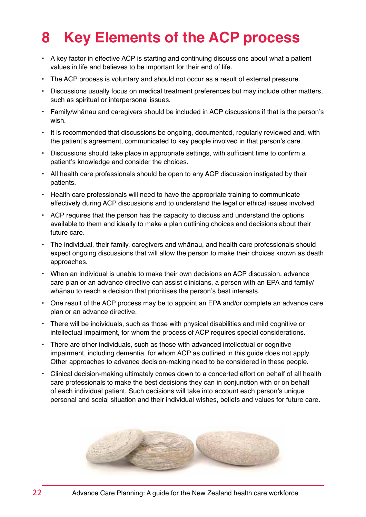### <span id="page-25-0"></span>**8 Key Elements of the ACP process**

- A key factor in effective ACP is starting and continuing discussions about what a patient values in life and believes to be important for their end of life.
- The ACP process is voluntary and should not occur as a result of external pressure.
- Discussions usually focus on medical treatment preferences but may include other matters, such as spiritual or interpersonal issues.
- Family/whanau and caregivers should be included in ACP discussions if that is the person's wish.
- It is recommended that discussions be ongoing, documented, regularly reviewed and, with the patient's agreement, communicated to key people involved in that person's care.
- Discussions should take place in appropriate settings, with sufficient time to confirm a patient's knowledge and consider the choices.
- All health care professionals should be open to any ACP discussion instigated by their patients.
- Health care professionals will need to have the appropriate training to communicate effectively during ACP discussions and to understand the legal or ethical issues involved.
- ACP requires that the person has the capacity to discuss and understand the options available to them and ideally to make a plan outlining choices and decisions about their future care.
- The individual, their family, caregivers and whanau, and health care professionals should expect ongoing discussions that will allow the person to make their choices known as death approaches.
- When an individual is unable to make their own decisions an ACP discussion, advance care plan or an advance directive can assist clinicians, a person with an EPA and family/ whanau to reach a decision that prioritises the person's best interests.
- One result of the ACP process may be to appoint an EPA and/or complete an advance care plan or an advance directive.
- There will be individuals, such as those with physical disabilities and mild cognitive or intellectual impairment, for whom the process of ACP requires special considerations.
- There are other individuals, such as those with advanced intellectual or cognitive impairment, including dementia, for whom ACP as outlined in this guide does not apply. Other approaches to advance decision-making need to be considered in these people.
- Clinical decision-making ultimately comes down to a concerted effort on behalf of all health care professionals to make the best decisions they can in conjunction with or on behalf of each individual patient. Such decisions will take into account each person's unique personal and social situation and their individual wishes, beliefs and values for future care.

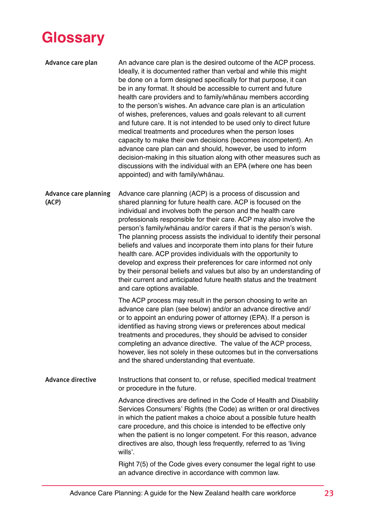<span id="page-26-0"></span>

Advance care plan An advance care plan is the desired outcome of the ACP process. Ideally, it is documented rather than verbal and while this might be done on a form designed specifically for that purpose, it can be in any format. It should be accessible to current and future health care providers and to family/whanau members according to the person's wishes. An advance care plan is an articulation of wishes, preferences, values and goals relevant to all current and future care. It is not intended to be used only to direct future medical treatments and procedures when the person loses capacity to make their own decisions (becomes incompetent). An advance care plan can and should, however, be used to inform decision-making in this situation along with other measures such as discussions with the individual with an EPA (where one has been appointed) and with family/whānau.

Advance care planning (ACP) Advance care planning (ACP) is a process of discussion and shared planning for future health care. ACP is focused on the individual and involves both the person and the health care professionals responsible for their care. ACP may also involve the person's family/whanau and/or carers if that is the person's wish. The planning process assists the individual to identify their personal beliefs and values and incorporate them into plans for their future health care. ACP provides individuals with the opportunity to develop and express their preferences for care informed not only by their personal beliefs and values but also by an understanding of their current and anticipated future health status and the treatment and care options available.

> The ACP process may result in the person choosing to write an advance care plan (see below) and/or an advance directive and/ or to appoint an enduring power of attorney (EPA). If a person is identified as having strong views or preferences about medical treatments and procedures, they should be advised to consider completing an advance directive. The value of the ACP process, however, lies not solely in these outcomes but in the conversations and the shared understanding that eventuate.

Advance directive Instructions that consent to, or refuse, specified medical treatment or procedure in the future.

> Advance directives are defined in the Code of Health and Disability Services Consumers' Rights (the Code) as written or oral directives in which the patient makes a choice about a possible future health care procedure, and this choice is intended to be effective only when the patient is no longer competent. For this reason, advance directives are also, though less frequently, referred to as 'living wills'.

Right 7(5) of the Code gives every consumer the legal right to use an advance directive in accordance with common law.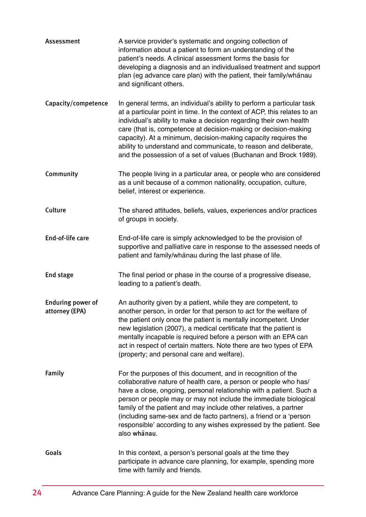| Assessment                                 | A service provider's systematic and ongoing collection of<br>information about a patient to form an understanding of the<br>patient's needs. A clinical assessment forms the basis for<br>developing a diagnosis and an individualised treatment and support<br>plan (eg advance care plan) with the patient, their family/whānau<br>and significant others.                                                                                                                                               |
|--------------------------------------------|------------------------------------------------------------------------------------------------------------------------------------------------------------------------------------------------------------------------------------------------------------------------------------------------------------------------------------------------------------------------------------------------------------------------------------------------------------------------------------------------------------|
| Capacity/competence                        | In general terms, an individual's ability to perform a particular task<br>at a particular point in time. In the context of ACP, this relates to an<br>individual's ability to make a decision regarding their own health<br>care (that is, competence at decision-making or decision-making<br>capacity). At a minimum, decision-making capacity requires the<br>ability to understand and communicate, to reason and deliberate,<br>and the possession of a set of values (Buchanan and Brock 1989).      |
| Community                                  | The people living in a particular area, or people who are considered<br>as a unit because of a common nationality, occupation, culture,<br>belief, interest or experience.                                                                                                                                                                                                                                                                                                                                 |
| Culture                                    | The shared attitudes, beliefs, values, experiences and/or practices<br>of groups in society.                                                                                                                                                                                                                                                                                                                                                                                                               |
| End-of-life care                           | End-of-life care is simply acknowledged to be the provision of<br>supportive and palliative care in response to the assessed needs of<br>patient and family/whanau during the last phase of life.                                                                                                                                                                                                                                                                                                          |
| End stage                                  | The final period or phase in the course of a progressive disease,<br>leading to a patient's death.                                                                                                                                                                                                                                                                                                                                                                                                         |
| <b>Enduring power of</b><br>attorney (EPA) | An authority given by a patient, while they are competent, to<br>another person, in order for that person to act for the welfare of<br>the patient only once the patient is mentally incompetent. Under<br>new legislation (2007), a medical certificate that the patient is<br>mentally incapable is required before a person with an EPA can<br>act in respect of certain matters. Note there are two types of EPA<br>(property; and personal care and welfare).                                         |
| <b>Family</b>                              | For the purposes of this document, and in recognition of the<br>collaborative nature of health care, a person or people who has/<br>have a close, ongoing, personal relationship with a patient. Such a<br>person or people may or may not include the immediate biological<br>family of the patient and may include other relatives, a partner<br>(including same-sex and de facto partners), a friend or a 'person<br>responsible' according to any wishes expressed by the patient. See<br>also whanau. |
| Goals                                      | In this context, a person's personal goals at the time they<br>participate in advance care planning, for example, spending more<br>time with family and friends.                                                                                                                                                                                                                                                                                                                                           |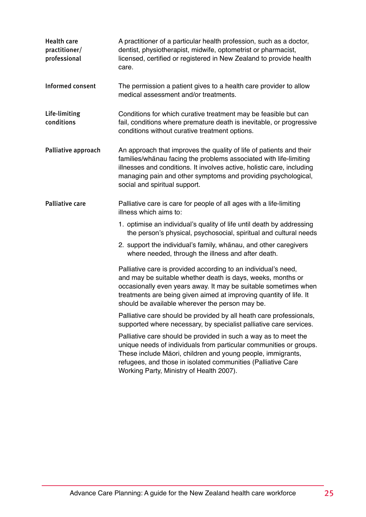| Health care<br>practitioner/<br>professional | A practitioner of a particular health profession, such as a doctor,<br>dentist, physiotherapist, midwife, optometrist or pharmacist,<br>licensed, certified or registered in New Zealand to provide health<br>care.                                                                                                       |
|----------------------------------------------|---------------------------------------------------------------------------------------------------------------------------------------------------------------------------------------------------------------------------------------------------------------------------------------------------------------------------|
| Informed consent                             | The permission a patient gives to a health care provider to allow<br>medical assessment and/or treatments.                                                                                                                                                                                                                |
| Life-limiting<br>conditions                  | Conditions for which curative treatment may be feasible but can<br>fail, conditions where premature death is inevitable, or progressive<br>conditions without curative treatment options.                                                                                                                                 |
| Palliative approach                          | An approach that improves the quality of life of patients and their<br>families/whanau facing the problems associated with life-limiting<br>illnesses and conditions. It involves active, holistic care, including<br>managing pain and other symptoms and providing psychological,<br>social and spiritual support.      |
| <b>Palliative care</b>                       | Palliative care is care for people of all ages with a life-limiting<br>illness which aims to:                                                                                                                                                                                                                             |
|                                              | 1. optimise an individual's quality of life until death by addressing<br>the person's physical, psychosocial, spiritual and cultural needs                                                                                                                                                                                |
|                                              | 2. support the individual's family, whanau, and other caregivers<br>where needed, through the illness and after death.                                                                                                                                                                                                    |
|                                              | Palliative care is provided according to an individual's need,<br>and may be suitable whether death is days, weeks, months or<br>occasionally even years away. It may be suitable sometimes when<br>treatments are being given aimed at improving quantity of life. It<br>should be available wherever the person may be. |
|                                              | Palliative care should be provided by all heath care professionals,<br>supported where necessary, by specialist palliative care services.                                                                                                                                                                                 |
|                                              | Palliative care should be provided in such a way as to meet the<br>unique needs of individuals from particular communities or groups.<br>These include Māori, children and young people, immigrants,<br>refugees, and those in isolated communities (Palliative Care<br>Working Party, Ministry of Health 2007).          |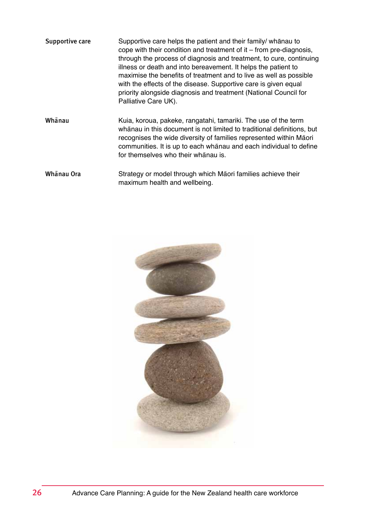Supportive care Supportive care helps the patient and their family/ whanau to cope with their condition and treatment of it – from pre-diagnosis, through the process of diagnosis and treatment, to cure, continuing illness or death and into bereavement. It helps the patient to maximise the benefits of treatment and to live as well as possible with the effects of the disease. Supportive care is given equal priority alongside diagnosis and treatment (National Council for Palliative Care UK).

Whanau Kuia, koroua, pakeke, rangatahi, tamariki. The use of the term whānau in this document is not limited to traditional definitions, but recognises the wide diversity of families represented within Māori communities. It is up to each whānau and each individual to define for themselves who their whānau is.

Whanau Ora Strategy or model through which Maori families achieve their maximum health and wellbeing.

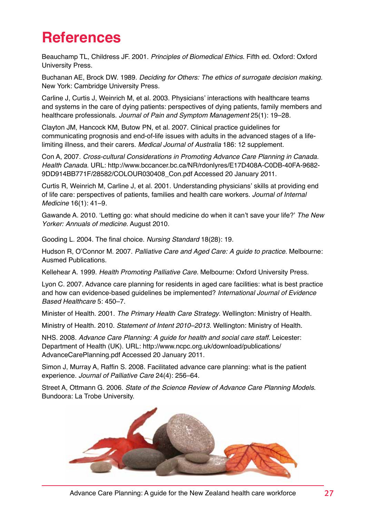### <span id="page-30-0"></span>**References**

Beauchamp TL, Childress JF. 2001. Principles of Biomedical Ethics. Fifth ed. Oxford: Oxford University Press.

Buchanan AE, Brock DW. 1989. Deciding for Others: The ethics of surrogate decision making. New York: Cambridge University Press.

Carline J, Curtis J, Weinrich M, et al. 2003. Physicians' interactions with healthcare teams and systems in the care of dying patients: perspectives of dying patients, family members and healthcare professionals. Journal of Pain and Symptom Management 25(1): 19–28.

Clayton JM, Hancock KM, Butow PN, et al. 2007. Clinical practice guidelines for communicating prognosis and end-of-life issues with adults in the advanced stages of a lifelimiting illness, and their carers. Medical Journal of Australia 186: 12 supplement.

Con A, 2007. Cross-cultural Considerations in Promoting Advance Care Planning in Canada. Health Canada. URL: http://www.bccancer.bc.ca/NR/rdonlyres/E17D408A-C0DB-40FA-9682- 9DD914BB771F/28582/COLOUR030408\_Con.pdf Accessed 20 January 2011.

Curtis R, Weinrich M, Carline J, et al. 2001. Understanding physicians' skills at providing end of life care: perspectives of patients, families and health care workers. Journal of Internal Medicine 16(1): 41–9.

Gawande A. 2010. 'Letting go: what should medicine do when it can't save your life?' The New Yorker: Annuals of medicine. August 2010.

Gooding L. 2004. The final choice. Nursing Standard 18(28): 19.

Hudson R. O'Connor M. 2007. Palliative Care and Aged Care: A guide to practice. Melbourne: Ausmed Publications.

Kellehear A. 1999. Health Promoting Palliative Care. Melbourne: Oxford University Press.

Lyon C. 2007. Advance care planning for residents in aged care facilities: what is best practice and how can evidence-based guidelines be implemented? International Journal of Evidence Based Healthcare 5: 450–7.

Minister of Health. 2001. The Primary Health Care Strategy. Wellington: Ministry of Health.

Ministry of Health. 2010. Statement of Intent 2010–2013. Wellington: Ministry of Health.

NHS. 2008. Advance Care Planning: A guide for health and social care staff. Leicester: Department of Health (UK). URL: http://www.ncpc.org.uk/download/publications/ AdvanceCarePlanning.pdf Accessed 20 January 2011.

Simon J, Murray A, Raffin S. 2008. Facilitated advance care planning: what is the patient experience. Journal of Palliative Care 24(4): 256–64.

Street A, Ottmann G. 2006. State of the Science Review of Advance Care Planning Models. Bundoora: La Trobe University.



Advance Care Planning: A guide for the New Zealand health care workforce 27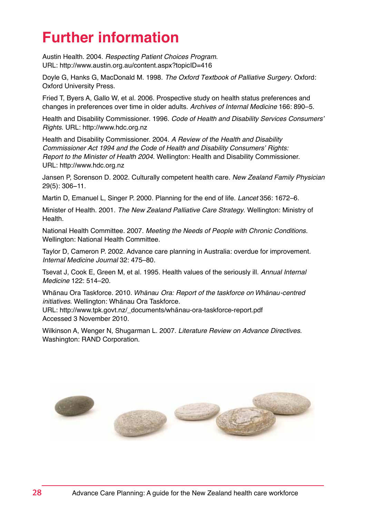### <span id="page-31-0"></span>**Further information**

Austin Health. 2004. Respecting Patient Choices Program. URL: http://www.austin.org.au/content.aspx?topicID=416

Doyle G, Hanks G, MacDonald M. 1998. The Oxford Textbook of Palliative Surgery. Oxford: Oxford University Press.

Fried T, Byers A, Gallo W, et al. 2006. Prospective study on health status preferences and changes in preferences over time in older adults. Archives of Internal Medicine 166: 890–5.

Health and Disability Commissioner. 1996. Code of Health and Disability Services Consumers' Rights. URL: http://www.hdc.org.nz

Health and Disability Commissioner. 2004. A Review of the Health and Disability Commissioner Act 1994 and the Code of Health and Disability Consumers' Rights: Report to the Minister of Health 2004. Wellington: Health and Disability Commissioner. URL: http://www.hdc.org.nz

Jansen P, Sorenson D. 2002. Culturally competent health care. New Zealand Family Physician 29(5): 306−11.

Martin D, Emanuel L, Singer P. 2000. Planning for the end of life. Lancet 356: 1672–6.

Minister of Health. 2001. The New Zealand Palliative Care Strategy. Wellington: Ministry of Health.

National Health Committee. 2007. Meeting the Needs of People with Chronic Conditions. Wellington: National Health Committee.

Taylor D, Cameron P. 2002. Advance care planning in Australia: overdue for improvement. Internal Medicine Journal 32: 475–80.

Tsevat J, Cook E, Green M, et al. 1995. Health values of the seriously ill. Annual Internal Medicine 122: 514–20.

Whānau Ora Taskforce. 2010. *Whānau Ora: Report of the taskforce on Whānau-centred* initiatives. Wellington: Whānau Ora Taskforce.

URL: http://www.tpk.govt.nz/\_documents/whānau-ora-taskforce-report.pdf Accessed 3 November 2010.

Wilkinson A, Wenger N, Shugarman L. 2007. Literature Review on Advance Directives. Washington: RAND Corporation.

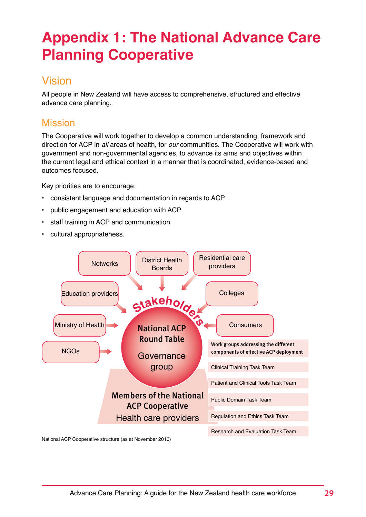### <span id="page-32-0"></span>**Appendix 1: The National Advance Care Planning Cooperative**

#### Vision

All people in New Zealand will have access to comprehensive, structured and effective advance care planning.

#### Mission

The Cooperative will work together to develop a common understanding, framework and direction for ACP in all areas of health, for *our* communities. The Cooperative will work with government and non-governmental agencies, to advance its aims and objectives within the current legal and ethical context in a manner that is coordinated, evidence-based and outcomes focused.

Key priorities are to encourage:

- consistent language and documentation in regards to ACP
- public engagement and education with ACP
- staff training in ACP and communication
- cultural appropriateness.



National ACP Cooperative structure (as at November 2010)